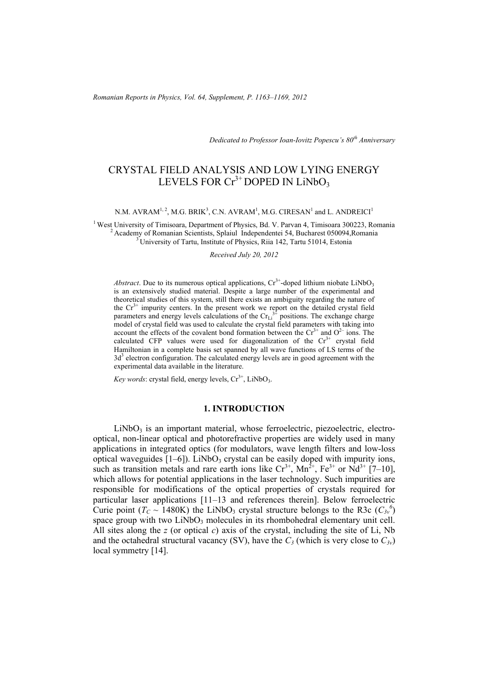*Dedicated to Professor Ioan-Iovitz Popescu's 80th Anniversary*

# CRYSTAL FIELD ANALYSIS AND LOW LYING ENERGY LEVELS FOR  $Cr^{3+}$  DOPED IN LiNbO<sub>3</sub>

N.M. AVRAM<sup>1, 2</sup>, M.G. BRIK<sup>3</sup>, C.N. AVRAM<sup>1</sup>, M.G. CIRESAN<sup>1</sup> and L. ANDREICI<sup>1</sup>

<sup>1</sup> West University of Timisoara, Department of Physics, Bd. V. Parvan 4, Timisoara 300223, Romania<br><sup>2</sup> Academy of Romanian Scientists, Splaiul Independentei 54, Bucharest 050094, Romania<br><sup>3</sup> University of Tartu, Institut

#### *Received July 20, 2012*

*Abstract*. Due to its numerous optical applications,  $Cr^{3+}$ -doped lithium niobate LiNbO<sub>3</sub> is an extensively studied material. Despite a large number of the experimental and theoretical studies of this system, still there exists an ambiguity regarding the nature of the  $Cr^{3+}$  impurity centers. In the present work we report on the detailed crystal field parameters and energy levels calculations of the  $Cr_{Li}^{3+}$  positions. The exchange charge model of crystal field was used to calculate the crystal field parameters with taking into account the effects of the covalent bond formation between the  $Cr<sup>3+</sup>$  and  $O<sup>2-</sup>$  ions. The calculated CFP values were used for diagonalization of the  $Cr<sup>3+</sup>$  crystal field Hamiltonian in a complete basis set spanned by all wave functions of LS terms of the  $3d<sup>3</sup>$  electron configuration. The calculated energy levels are in good agreement with the experimental data available in the literature.

*Key words*: crystal field, energy levels,  $Cr^{3+}$ , LiNbO<sub>3</sub>.

## **1. INTRODUCTION**

 $LiNbO<sub>3</sub>$  is an important material, whose ferroelectric, piezoelectric, electrooptical, non-linear optical and photorefractive properties are widely used in many applications in integrated optics (for modulators, wave length filters and low-loss optical waveguides  $[1-6]$ ). LiNbO<sub>3</sub> crystal can be easily doped with impurity ions, such as transition metals and rare earth ions like  $Cr^{3+}$ ,  $Mn^{2+}$ , Fe<sup>3+</sup> or Nd<sup>3+</sup> [7–10], which allows for potential applications in the laser technology. Such impurities are responsible for modifications of the optical properties of crystals required for particular laser applications [11–13 and references therein]. Below ferroelectric Curie point ( $T_c \sim 1480K$ ) the LiNbO<sub>3</sub> crystal structure belongs to the R3c ( $C_{3v}^6$ ) space group with two  $LiNbO<sub>3</sub>$  molecules in its rhombohedral elementary unit cell. All sites along the *z* (or optical *c*) axis of the crystal, including the site of Li, Nb and the octahedral structural vacancy (SV), have the  $C_3$  (which is very close to  $C_{3v}$ ) local symmetry [14].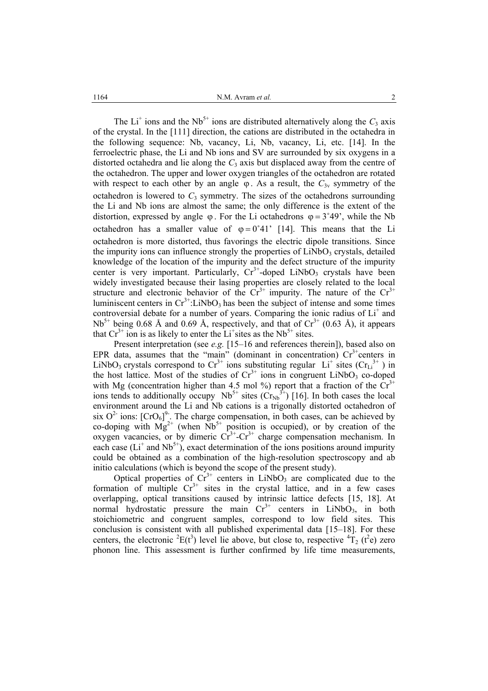The Li<sup>+</sup> ions and the Nb<sup>5+</sup> ions are distributed alternatively along the  $C_3$  axis of the crystal. In the [111] direction, the cations are distributed in the octahedra in the following sequence: Nb, vacancy, Li, Nb, vacancy, Li, etc. [14]. In the ferroelectric phase, the Li and Nb ions and SV are surrounded by six oxygens in a distorted octahedra and lie along the  $C_3$  axis but displaced away from the centre of the octahedron. The upper and lower oxygen triangles of the octahedron are rotated with respect to each other by an angle  $\varphi$ . As a result, the  $C_{3v}$  symmetry of the octahedron is lowered to  $C_3$  symmetry. The sizes of the octahedrons surrounding the Li and Nb ions are almost the same; the only difference is the extent of the distortion, expressed by angle  $\varphi$ . For the Li octahedrons  $\varphi = 3^{\circ}49'$ , while the Nb octahedron has a smaller value of  $\varphi = 0^{\circ}41'$  [14]. This means that the Li octahedron is more distorted, thus favorings the electric dipole transitions. Since the impurity ions can influence strongly the properties of  $LiNbO<sub>3</sub>$  crystals, detailed knowledge of the location of the impurity and the defect structure of the impurity center is very important. Particularly,  $Cr^{3+}$ -doped LiNbO<sub>3</sub> crystals have been widely investigated because their lasing properties are closely related to the local structure and electronic behavior of the  $Cr^{3+}$  impurity. The nature of the  $Cr^{3+}$ luminiscent centers in  $Cr^{3+}$ :LiNbO<sub>3</sub> has been the subject of intense and some times controversial debate for a number of years. Comparing the ionic radius of  $Li<sup>+</sup>$  and  $Nb<sup>5+</sup>$  being 0.68 Å and 0.69 Å, respectively, and that of  $Cr<sup>3+</sup>$  (0.63 Å), it appears that  $Cr^{3+}$  ion is as likely to enter the Li<sup>+</sup>sites as the Nb<sup>5+</sup> sites.

Present interpretation (see *e.g.* [15–16 and references therein]), based also on EPR data, assumes that the "main" (dominant in concentration)  $Cr<sup>3+</sup>$  centers in LiNbO<sub>3</sub> crystals correspond to  $Cr^{3+}$  ions substituting regular Li<sup>+</sup> sites ( $Cr_{Li}^{3+}$ ) in the host lattice. Most of the studies of  $Cr<sup>3+</sup>$  ions in congruent LiNbO<sub>3</sub> co-doped with Mg (concentration higher than 4.5 mol %) report that a fraction of the  $\tilde{C}r^{3+}$ ions tends to additionally occupy  $Nb^{5+}$  sites  $(Cr_{Nb}^{3+})$  [16]. In both cases the local environment around the Li and Nb cations is a trigonally distorted octahedron of six  $O<sup>2</sup>$  ions:  $[CrO<sub>6</sub>]<sup>9</sup>$ . The charge compensation, in both cases, can be achieved by co-doping with  $Mg^{2+}$  (when  $Nb^{5+}$  position is occupied), or by creation of the oxygen vacancies, or by dimeric  $Cr^{3+}$ -Cr<sup>3+</sup> charge compensation mechanism. In each case  $(L<sup>+</sup>$  and Nb<sup>5+</sup>), exact determination of the ions positions around impurity could be obtained as a combination of the high-resolution spectroscopy and ab initio calculations (which is beyond the scope of the present study).

Optical properties of  $Cr^{3+}$  centers in LiNbO<sub>3</sub> are complicated due to the formation of multiple  $Cr^{3+}$  sites in the crystal lattice, and in a few cases overlapping, optical transitions caused by intrinsic lattice defects [15, 18]. At normal hydrostatic pressure the main  $Cr^{3+}$  centers in LiNbO<sub>3</sub>, in both stoichiometric and congruent samples, correspond to low field sites. This conclusion is consistent with all published experimental data [15–18]. For these centers, the electronic <sup>2</sup>E( $t^3$ ) level lie above, but close to, respective  ${}^4T_2$  ( $t^2$ e) zero phonon line. This assessment is further confirmed by life time measurements,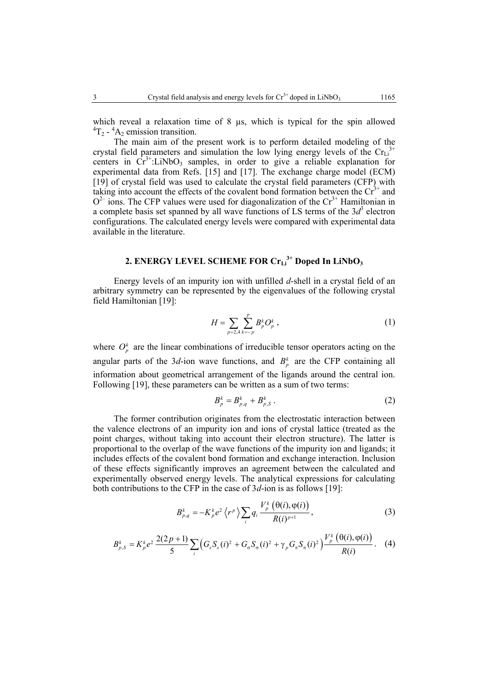which reveal a relaxation time of  $8 \mu s$ , which is typical for the spin allowed  ${}^{4}T_{2}$  -  ${}^{4}A_{2}$  emission transition.

The main aim of the present work is to perform detailed modeling of the crystal field parameters and simulation the low lying energy levels of the  $Cr<sub>Li</sub><sup>3+</sup>$ centers in  $Cr^{3+}$ :LiNbO<sub>3</sub> samples, in order to give a reliable explanation for experimental data from Refs. [15] and [17]. The exchange charge model (ECM) [19] of crystal field was used to calculate the crystal field parameters (CFP) with taking into account the effects of the covalent bond formation between the  $Cr^{3+}$  and  $O<sup>2-</sup>$  ions. The CFP values were used for diagonalization of the Cr<sup>3+</sup> Hamiltonian in a complete basis set spanned by all wave functions of LS terms of the  $3d<sup>3</sup>$  electron configurations. The calculated energy levels were compared with experimental data available in the literature.

# 2. ENERGY LEVEL SCHEME FOR Cr<sub>Li</sub><sup>3+</sup> Doped In LiNbO<sub>3</sub>

Energy levels of an impurity ion with unfilled *d*-shell in a crystal field of an arbitrary symmetry can be represented by the eigenvalues of the following crystal field Hamiltonian [19]:

$$
H = \sum_{p=2,4} \sum_{k=-p}^{p} B_p^k O_p^k \,, \tag{1}
$$

where  $O_p^k$  are the linear combinations of irreducible tensor operators acting on the angular parts of the 3*d*-ion wave functions, and  $B_p^k$  are the CFP containing all information about geometrical arrangement of the ligands around the central ion. Following [19], these parameters can be written as a sum of two terms:

$$
B_p^k = B_{p,q}^k + B_{p,S}^k \,. \tag{2}
$$

The former contribution originates from the electrostatic interaction between the valence electrons of an impurity ion and ions of crystal lattice (treated as the point charges, without taking into account their electron structure). The latter is proportional to the overlap of the wave functions of the impurity ion and ligands; it includes effects of the covalent bond formation and exchange interaction. Inclusion of these effects significantly improves an agreement between the calculated and experimentally observed energy levels. The analytical expressions for calculating both contributions to the CFP in the case of 3*d*-ion is as follows [19]:

$$
B_{p,q}^{k} = -K_{p}^{k} e^{2} \left\langle r^{p} \right\rangle \sum_{i} q_{i} \frac{V_{p}^{k} \left( \theta(i), \phi(i) \right)}{R(i)^{p+1}}, \qquad (3)
$$

$$
B_{p,S}^{k} = K_{p}^{k} e^{2} \frac{2(2p+1)}{5} \sum_{i} \left( G_{s} S_{s}(i)^{2} + G_{\sigma} S_{\sigma}(i)^{2} + \gamma_{p} G_{\pi} S_{\pi}(i)^{2} \right) \frac{V_{p}^{k}(\theta(i), \varphi(i))}{R(i)}.
$$
 (4)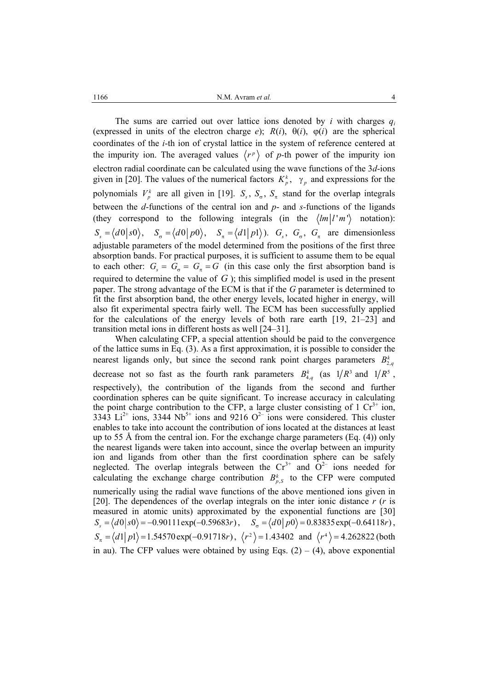1166 **et al.** Avram *et al.* 4

The sums are carried out over lattice ions denoted by *i* with charges  $q_i$ (expressed in units of the electron charge  $e$ );  $R(i)$ ,  $\theta(i)$ ,  $\phi(i)$  are the spherical coordinates of the *i*-th ion of crystal lattice in the system of reference centered at the impurity ion. The averaged values  $\langle r^p \rangle$  of p-th power of the impurity ion electron radial coordinate can be calculated using the wave functions of the 3*d*-ions given in [20]. The values of the numerical factors  $K_p^k$ ,  $\gamma_p$  and expressions for the polynomials  $V_p^k$  are all given in [19].  $S_s$ ,  $S_\sigma$ ,  $S_\tau$  stand for the overlap integrals between the *d*-functions of the central ion and *p*- and *s-*functions of the ligands (they correspond to the following integrals (in the  $\langle lm|l'm'\rangle$  notation):  $S_s = \langle d0|s0\rangle$ ,  $S_g = \langle d0|p0\rangle$ ,  $S_g = \langle d1|p1\rangle$ ).  $G_s$ ,  $G_g$ ,  $G_g$  are dimensionless adjustable parameters of the model determined from the positions of the first three absorption bands. For practical purposes, it is sufficient to assume them to be equal to each other:  $G_s = G_s = G_\tau = G$  (in this case only the first absorption band is required to determine the value of *G* ); this simplified model is used in the present paper. The strong advantage of the ECM is that if the *G* parameter is determined to fit the first absorption band, the other energy levels, located higher in energy, will also fit experimental spectra fairly well. The ECM has been successfully applied for the calculations of the energy levels of both rare earth [19, 21–23] and transition metal ions in different hosts as well [24–31].

When calculating CFP, a special attention should be paid to the convergence of the lattice sums in Eq. (3). As a first approximation, it is possible to consider the nearest ligands only, but since the second rank point charges parameters  $B_{2,q}^k$ decrease not so fast as the fourth rank parameters  $B_{4,q}^k$  (as  $1/R^3$  and  $1/R^5$ , respectively), the contribution of the ligands from the second and further coordination spheres can be quite significant. To increase accuracy in calculating the point charge contribution to the CFP, a large cluster consisting of 1  $Cr<sup>3+</sup>$  ion, 3343  $Li^{2+}$  ions, 3344 Nb<sup>5+</sup> ions and 9216 O<sup>2-</sup> ions were considered. This cluster enables to take into account the contribution of ions located at the distances at least up to 55 Å from the central ion. For the exchange charge parameters (Eq. (4)) only the nearest ligands were taken into account, since the overlap between an impurity ion and ligands from other than the first coordination sphere can be safely neglected. The overlap integrals between the  $Cr^{3+}$  and  $O^{2-}$  ions needed for calculating the exchange charge contribution  $B_{p,S}^k$  to the CFP were computed numerically using the radial wave functions of the above mentioned ions given in [20]. The dependences of the overlap integrals on the inter ionic distance *r* (*r* is measured in atomic units) approximated by the exponential functions are [30]  $S_s = \langle d0 | s0 \rangle = -0.90111 \exp(-0.59683r)$ ,  $S_\sigma = \langle d0 | p0 \rangle = 0.83835 \exp(-0.64118r)$ ,  $S_n = \langle d_1 | p_1 \rangle = 1.54570 \exp(-0.91718r)$ ,  $\langle r^2 \rangle = 1.43402$  and  $\langle r^4 \rangle = 4.262822$  (both in au). The CFP values were obtained by using Eqs.  $(2) - (4)$ , above exponential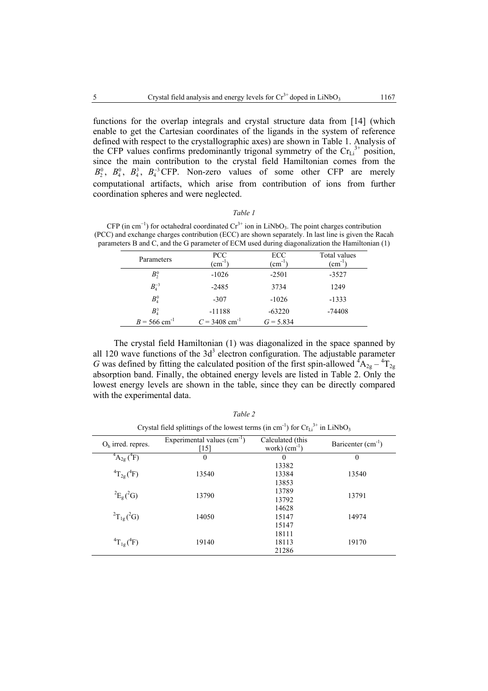functions for the overlap integrals and crystal structure data from [14] (which enable to get the Cartesian coordinates of the ligands in the system of reference defined with respect to the crystallographic axes) are shown in Table 1. Analysis of the CFP values confirms predominantly trigonal symmetry of the  $Cr<sub>Li</sub><sup>3+</sup>$  position, since the main contribution to the crystal field Hamiltonian comes from the  $R^0 = R^0 = R^3 = R^{-3}$  GEP. Non-zero, values of some other CEP are merely  $B_2^0$ ,  $B_4^0$ ,  $B_4^3$ ,  $B_4^{-3}$ CFP. Non-zero values of some other CFP are merely computational artifacts, which arise from contribution of ions from further coordination spheres and were neglected.

### *Table 1*

CFP (in cm<sup>-1</sup>) for octahedral coordinated  $Cr^{3+}$  ion in LiNbO<sub>3</sub>. The point charges contribution (PCC) and exchange charges contribution (ECC) are shown separately. In last line is given the Racah parameters B and C, and the G parameter of ECM used during diagonalization the Hamiltonian (1)

| Parameters                 | <b>PCC</b><br>$\text{cm}^{-1}$ | ECC<br>$\text{cm}^{-1}$ | Total values<br>$\text{cm}^{-1}$ |
|----------------------------|--------------------------------|-------------------------|----------------------------------|
| $B_2^0$                    | $-1026$                        | $-2501$                 | $-3527$                          |
| $B_4^{-3}$                 | $-2485$                        | 3734                    | 1249                             |
| $B_4^0$                    | $-307$                         | $-1026$                 | $-1333$                          |
| $B_4^3$                    | $-11188$                       | $-63220$                | $-74408$                         |
| $B = 566$ cm <sup>-1</sup> | $C = 3408$ cm <sup>-1</sup>    | $G = 5.834$             |                                  |

The crystal field Hamiltonian (1) was diagonalized in the space spanned by all 120 wave functions of the  $3d<sup>3</sup>$  electron configuration. The adjustable parameter *G* was defined by fitting the calculated position of the first spin-allowed  ${}^4A_{2g} - {}^4T_{2g}$ absorption band. Finally, the obtained energy levels are listed in Table 2. Only the lowest energy levels are shown in the table, since they can be directly compared with the experimental data.

| Crystal field splittings of the lowest terms (in cm <sup>-1</sup> ) for $CrLi3+$ in LiNbO <sub>3</sub> |                                      |                                    |                     |  |  |
|--------------------------------------------------------------------------------------------------------|--------------------------------------|------------------------------------|---------------------|--|--|
| $Oh$ irred. repres.                                                                                    | Experimental values $(cm-1)$<br>[15] | Calculated (this<br>work) $(cm-1)$ | Baricenter $(cm-1)$ |  |  |
| $^{4}A_{2g}$ ( <sup>4</sup> F)                                                                         | $\theta$                             | $\Omega$                           | $\theta$            |  |  |
| ${}^{4}T_{2g}({}^{4}F)$                                                                                | 13540                                | 13382<br>13384<br>13853            | 13540               |  |  |
| ${}^{2}E_{g}(^{2}G)$                                                                                   | 13790                                | 13789<br>13792                     | 13791               |  |  |
| ${}^{2}T_{1g}({}^{2}G)$                                                                                | 14050                                | 14628<br>15147<br>15147            | 14974               |  |  |
| ${}^{4}T_{1g}({}^{4}F)$                                                                                | 19140                                | 18111<br>18113<br>21286            | 19170               |  |  |

*Table 2* 

 $3+1$  in  $\alpha$   $3+1$  in  $\alpha$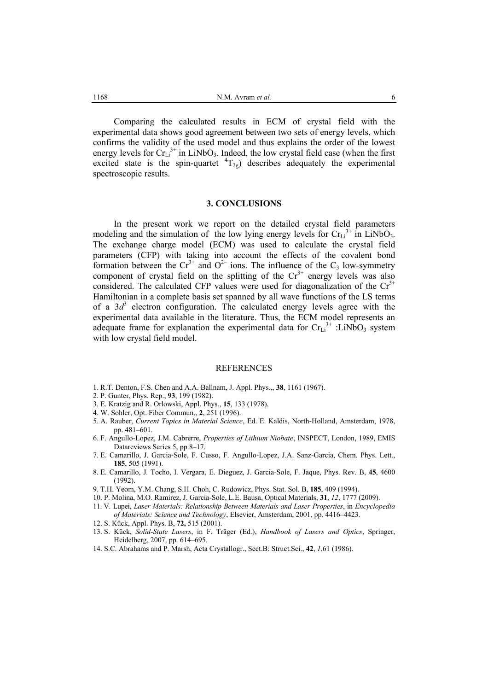Comparing the calculated results in ECM of crystal field with the experimental data shows good agreement between two sets of energy levels, which confirms the validity of the used model and thus explains the order of the lowest energy levels for  $Cr_{Li}^{3+}$  in LiNbO<sub>3</sub>. Indeed, the low crystal field case (when the first excited state is the spin-quartet  ${}^{4}T_{2g}$ ) describes adequately the experimental spectroscopic results.

## **3. CONCLUSIONS**

In the present work we report on the detailed crystal field parameters modeling and the simulation of the low lying energy levels for  $Cr<sub>Li</sub><sup>3+</sup>$  in LiNbO<sub>3</sub>. The exchange charge model (ECM) was used to calculate the crystal field parameters (CFP) with taking into account the effects of the covalent bond formation between the  $Cr^{3+}$  and  $O^{2-}$  ions. The influence of the  $C_3$  low-symmetry component of crystal field on the splitting of the  $Cr^{3+}$  energy levels was also considered. The calculated CFP values were used for diagonalization of the  $Cr^{3+}$ Hamiltonian in a complete basis set spanned by all wave functions of the LS terms of a  $3d^3$  electron configuration. The calculated energy levels agree with the experimental data available in the literature. Thus, the ECM model represents an adequate frame for explanation the experimental data for  $\text{Cr}_{\text{Li}}^{3+}$ : LiNbO<sub>3</sub> system with low crystal field model.

#### REFERENCES

- 1. R.T. Denton, F.S. Chen and A.A. Ballnam, J. Appl. Phys.,, **38**, 1161 (1967).
- 2. P. Gunter, Phys. Rep., **93**, 199 (1982).
- 3. E. Kratzig and R. Orlowski, Appl. Phys., **15**, 133 (1978).
- 4. W. Sohler, Opt. Fiber Commun., **2**, 251 (1996).
- 5. A. Rauber, *Current Topics in Material Science*, Ed. E. Kaldis, North-Holland, Amsterdam, 1978, pp. 481–601.
- 6. F. Angullo-Lopez, J.M. Cabrerre, *Properties of Lithium Niobate*, INSPECT, London, 1989, EMIS Datareviews Series 5, pp.8–17.
- 7. E. Camarillo, J. Garcia-Sole, F. Cusso, F. Angullo-Lopez, J.A. Sanz-Garcia, Chem. Phys. Lett., **185**, 505 (1991).
- 8. E. Camarillo, J. Tocho, I. Vergara, E. Dieguez, J. Garcia-Sole, F. Jaque, Phys. Rev. B, **45**, 4600 (1992).

9. T.H. Yeom, Y.M. Chang, S.H. Choh, C. Rudowicz, Phys. Stat. Sol. B, **185**, 409 (1994).

- 10. P. Molina, M.O. Ramirez, J. Garcia-Sole, L.E. Bausa, Optical Materials, **31**, *12*, 1777 (2009).
- 11. V. Lupei, *Laser Materials: Relationship Between Materials and Laser Properties*, in *Encyclopedia of Materials: Science and Technology*, Elsevier, Amsterdam, 2001, pp. 4416–4423.
- 12. S. Kück, Appl. Phys. B, **72,** 515 (2001).
- 13. S. Kück, *Solid-State Lasers*, in F. Träger (Ed.), *Handbook of Lasers and Optics*, Springer, Heidelberg, 2007, pp. 614–695.
- 14. S.C. Abrahams and P. Marsh, Acta Crystallogr., Sect.B: Struct.Sci., **42**, *1*,61 (1986).